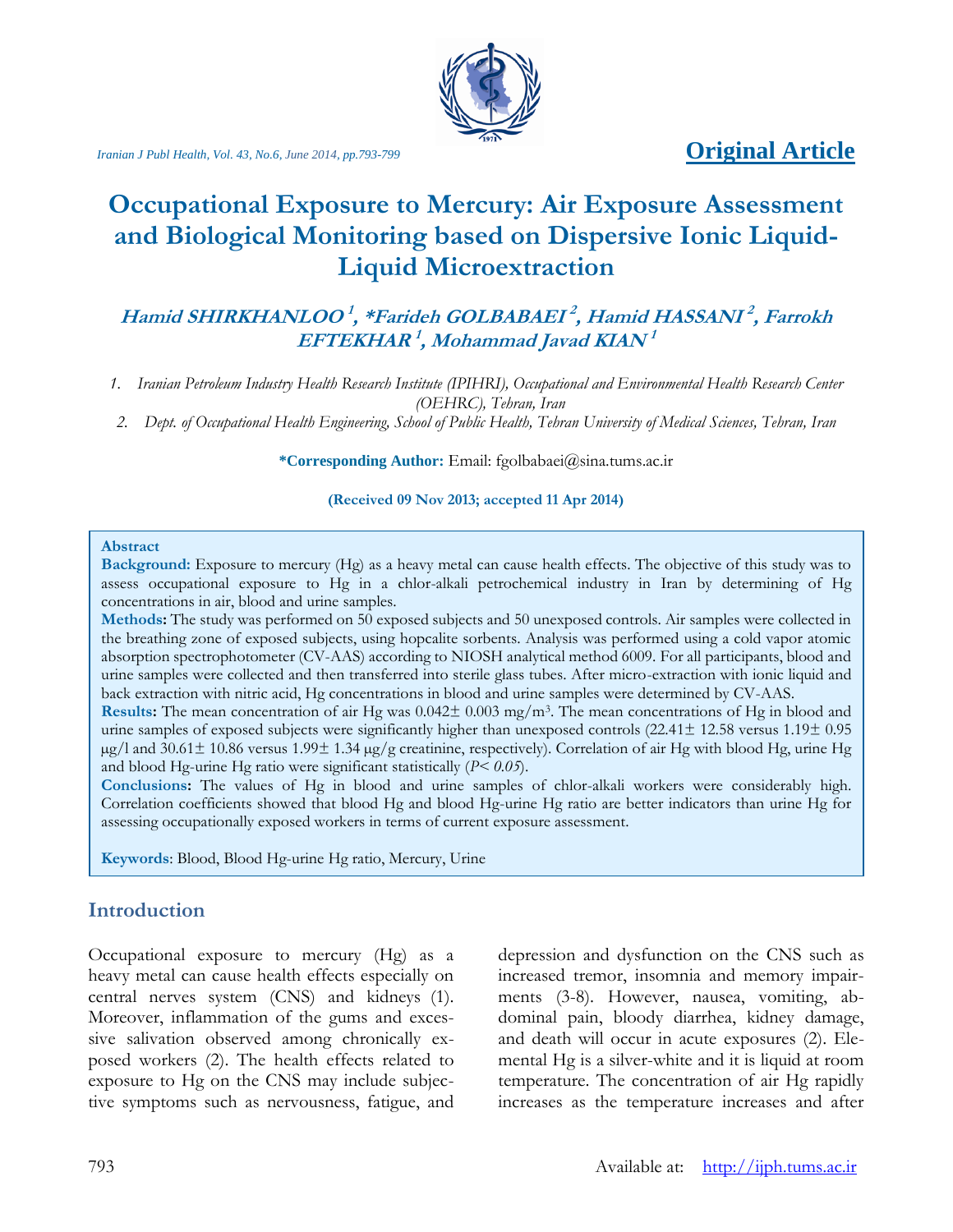# *Iranian J Publ Health, Vol. 43, No.6, June* 2014, pp.793-799 *Original Article*



# **Occupational Exposure to Mercury: Air Exposure Assessment and Biological Monitoring based on Dispersive Ionic Liquid-Liquid Microextraction**

# **Hamid SHIRKHANLOO 1 , \*Farideh GOLBABAEI 2 , Hamid HASSANI 2 , Farrokh EFTEKHAR 1 , Mohammad Javad KIAN 1**

*1. Iranian Petroleum Industry Health Research Institute (IPIHRI), Occupational and Environmental Health Research Center (OEHRC), Tehran, Iran*

*2. Dept. of Occupational Health Engineering, School of Public Health, Tehran University of Medical Sciences, Tehran, Iran*

**\*Corresponding Author:** Email: [fgolbabaei@sina.tums.ac.ir](mailto:fgolbabaei@sina.tums.ac.ir)

**(Received 09 Nov 2013; accepted 11 Apr 2014)**

#### **Abstract**

**Background:** Exposure to mercury (Hg) as a heavy metal can cause health effects. The objective of this study was to assess occupational exposure to Hg in a chlor-alkali petrochemical industry in Iran by determining of Hg concentrations in air, blood and urine samples.

**Methods:** The study was performed on 50 exposed subjects and 50 unexposed controls. Air samples were collected in the breathing zone of exposed subjects, using hopcalite sorbents. Analysis was performed using a cold vapor atomic absorption spectrophotometer (CV-AAS) according to NIOSH analytical method 6009. For all participants, blood and urine samples were collected and then transferred into sterile glass tubes. After micro-extraction with ionic liquid and back extraction with nitric acid, Hg concentrations in blood and urine samples were determined by CV-AAS.

**Results:** The mean concentration of air Hg was 0.042± 0.003 mg/m<sup>3</sup> . The mean concentrations of Hg in blood and urine samples of exposed subjects were significantly higher than unexposed controls (22.41± 12.58 versus 1.19± 0.95 µg/l and 30.61± 10.86 versus 1.99± 1.34 µg/g creatinine, respectively). Correlation of air Hg with blood Hg, urine Hg and blood Hg-urine Hg ratio were significant statistically (*P< 0.05*).

**Conclusions:** The values of Hg in blood and urine samples of chlor-alkali workers were considerably high. Correlation coefficients showed that blood Hg and blood Hg-urine Hg ratio are better indicators than urine Hg for assessing occupationally exposed workers in terms of current exposure assessment.

**Keywords**: Blood, Blood Hg-urine Hg ratio, Mercury, Urine

## **Introduction**

Occupational exposure to mercury (Hg) as a heavy metal can cause health effects especially on central nerves system (CNS) and kidneys (1). Moreover, inflammation of the gums and excessive salivation observed among chronically exposed workers (2). The health effects related to exposure to Hg on the CNS may include subjective symptoms such as nervousness, fatigue, and depression and dysfunction on the CNS such as increased tremor, insomnia and memory impairments (3-8). However, nausea, vomiting, abdominal pain, bloody diarrhea, kidney damage, and death will occur in acute exposures (2). Elemental Hg is a silver-white and it is liquid at room temperature. The concentration of air Hg rapidly increases as the temperature increases and after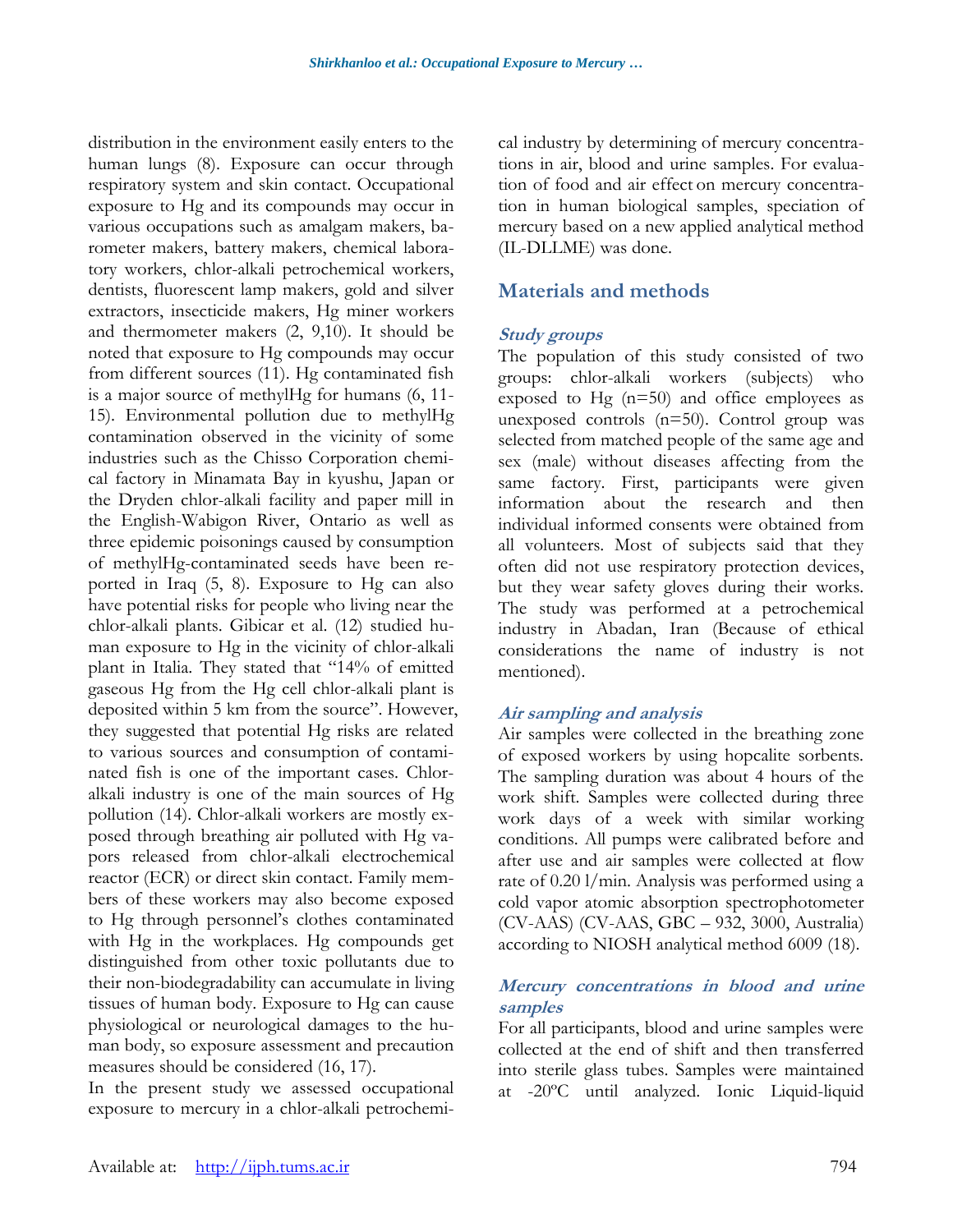distribution in the environment easily enters to the human lungs (8). Exposure can occur through respiratory system and skin contact. Occupational exposure to Hg and its compounds may occur in various occupations such as amalgam makers, barometer makers, battery makers, chemical laboratory workers, chlor-alkali petrochemical workers, dentists, fluorescent lamp makers, gold and silver extractors, insecticide makers, Hg miner workers and thermometer makers (2, 9,10). It should be noted that exposure to Hg compounds may occur from different sources (11). Hg contaminated fish is a major source of methylHg for humans (6, 11- 15). Environmental pollution due to methylHg contamination observed in the vicinity of some industries such as the Chisso Corporation chemical factory in Minamata Bay in kyushu, Japan or the Dryden chlor-alkali facility and paper mill in the English-Wabigon River, Ontario as well as three epidemic poisonings caused by consumption of methylHg-contaminated seeds have been reported in Iraq (5, 8). Exposure to Hg can also have potential risks for people who living near the chlor-alkali plants. Gibicar et al. (12) studied human exposure to Hg in the vicinity of chlor-alkali plant in Italia. They stated that "14% of emitted gaseous Hg from the Hg cell chlor-alkali plant is deposited within 5 km from the source". However, they suggested that potential Hg risks are related to various sources and consumption of contaminated fish is one of the important cases. Chloralkali industry is one of the main sources of Hg pollution (14). Chlor-alkali workers are mostly exposed through breathing air polluted with Hg vapors released from chlor-alkali electrochemical reactor (ECR) or direct skin contact. Family members of these workers may also become exposed to Hg through personnel's clothes contaminated with Hg in the workplaces. Hg compounds get distinguished from other toxic pollutants due to their non-biodegradability can accumulate in living tissues of human body. Exposure to Hg can cause physiological or neurological damages to the human body, so exposure assessment and precaution measures should be considered (16, 17).

In the present study we assessed occupational exposure to mercury in a chlor-alkali petrochemical industry by determining of mercury concentrations in air, blood and urine samples. For evaluation of food and air effect on mercury concentration in human biological samples, speciation of mercury based on a new applied analytical method (IL-DLLME) was done.

# **Materials and methods**

#### **Study groups**

The population of this study consisted of two groups: chlor-alkali workers (subjects) who exposed to Hg  $(n=50)$  and office employees as unexposed controls (n=50). Control group was selected from matched people of the same age and sex (male) without diseases affecting from the same factory. First, participants were given information about the research and then individual informed consents were obtained from all volunteers. Most of subjects said that they often did not use respiratory protection devices, but they wear safety gloves during their works. The study was performed at a petrochemical industry in Abadan, Iran (Because of ethical considerations the name of industry is not mentioned).

#### **Air sampling and analysis**

Air samples were collected in the breathing zone of exposed workers by using hopcalite sorbents. The sampling duration was about 4 hours of the work shift. Samples were collected during three work days of a week with similar working conditions. All pumps were calibrated before and after use and air samples were collected at flow rate of 0.20 l/min. Analysis was performed using a cold vapor atomic absorption spectrophotometer (CV-AAS) (CV-AAS, GBC – 932, 3000, Australia) according to NIOSH analytical method 6009 (18).

#### **Mercury concentrations in blood and urine samples**

For all participants, blood and urine samples were collected at the end of shift and then transferred into sterile glass tubes. Samples were maintained at -20ºC until analyzed. Ionic Liquid-liquid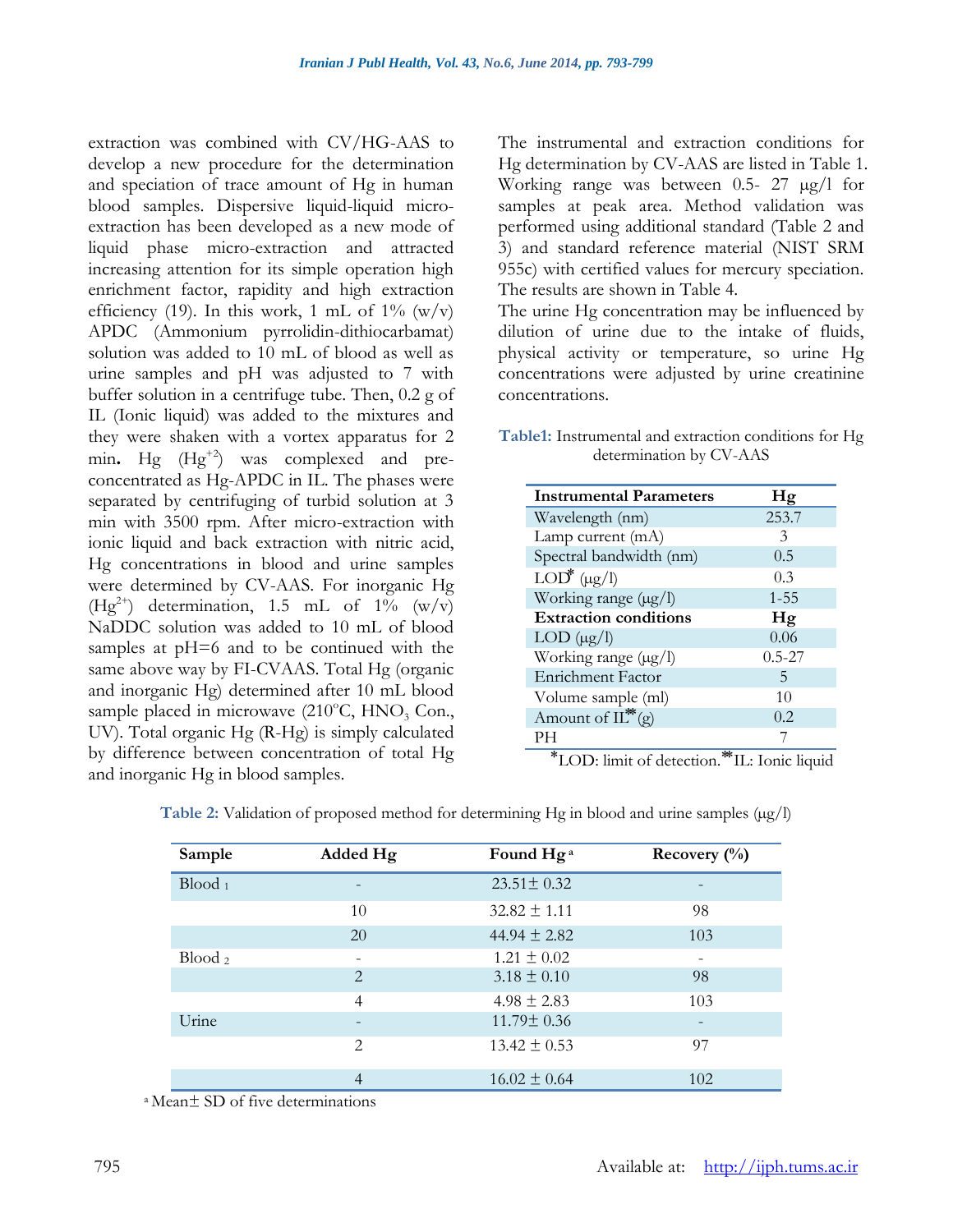extraction was combined with CV/HG-AAS to develop a new procedure for the determination and speciation of trace amount of Hg in human blood samples. Dispersive liquid-liquid microextraction has been developed as a new mode of liquid phase micro-extraction and attracted increasing attention for its simple operation high enrichment factor, rapidity and high extraction efficiency (19). In this work, 1 mL of  $1\%$  (w/v) APDC (Ammonium pyrrolidin-dithiocarbamat) solution was added to 10 mL of blood as well as urine samples and pH was adjusted to 7 with buffer solution in a centrifuge tube. Then, 0.2 g of IL (Ionic liquid) was added to the mixtures and they were shaken with a vortex apparatus for 2 min. Hg  $(Hg^{+2})$  was complexed and preconcentrated as Hg-APDC in IL. The phases were separated by centrifuging of turbid solution at 3 min with 3500 rpm. After micro-extraction with ionic liquid and back extraction with nitric acid, Hg concentrations in blood and urine samples were determined by CV-AAS. For inorganic Hg  $(Hg<sup>2+</sup>)$  determination, 1.5 mL of 1% (w/v) NaDDC solution was added to 10 mL of blood samples at pH=6 and to be continued with the same above way by FI-CVAAS. Total Hg (organic and inorganic Hg) determined after 10 mL blood sample placed in microwave  $(210^{\circ}C, HNO, Con.,$ UV). Total organic Hg (R-Hg) is simply calculated by difference between concentration of total Hg and inorganic Hg in blood samples.

The instrumental and extraction conditions for Hg determination by CV-AAS are listed in Table 1. Working range was between 0.5- 27  $\mu$ g/l for samples at peak area. Method validation was performed using additional standard (Table 2 and 3) and standard reference material (NIST SRM 955c) with certified values for mercury speciation. The results are shown in Table 4.

The urine Hg concentration may be influenced by dilution of urine due to the intake of fluids, physical activity or temperature, so urine Hg concentrations were adjusted by urine creatinine concentrations.

**Table1:** Instrumental and extraction conditions for Hg determination by CV-AAS

| <b>Instrumental Parameters</b> | Hg         |
|--------------------------------|------------|
| Wavelength (nm)                | 253.7      |
| Lamp current (mA)              | 3          |
| Spectral bandwidth (nm)        | 0.5        |
| $LOD^*(\mu g/l)$               | 0.3        |
| Working range (µg/l)           | $1 - 55$   |
| <b>Extraction conditions</b>   | Hg         |
| $LOD (\mu g/l)$                | 0.06       |
| Working range (µg/l)           | $0.5 - 27$ |
| <b>Enrichment Factor</b>       | 5          |
| Volume sample (ml)             | 10         |
| Amount of $IL^*(g)$            | 0.2        |
| PН                             |            |

⃰LOD: limit of detection. ⃰⃰IL: Ionic liquid

| Sample             | Added Hg                    | Found Hg <sup>a</sup> | Recovery $\left(\frac{0}{0}\right)$ |
|--------------------|-----------------------------|-----------------------|-------------------------------------|
| $Blood_1$          |                             | $23.51 \pm 0.32$      |                                     |
|                    | 10                          | $32.82 \pm 1.11$      | 98                                  |
|                    | 20                          | 44.94 $\pm$ 2.82      | 103                                 |
| Blood <sub>2</sub> | ۰                           | $1.21 \pm 0.02$       |                                     |
|                    | $\mathcal{D}_{\mathcal{L}}$ | $3.18 \pm 0.10$       | 98                                  |
|                    | $\overline{4}$              | $4.98 \pm 2.83$       | 103                                 |
| Urine              |                             | $11.79 \pm 0.36$      |                                     |
|                    | $\mathfrak{D}$              | $13.42 \pm 0.53$      | 97                                  |
|                    | 4                           | $16.02 \pm 0.64$      | 102                                 |

**Table 2:** Validation of proposed method for determining Hg in blood and urine samples ( $\mu$ g/l)

<sup>a</sup>Mean± SD of five determinations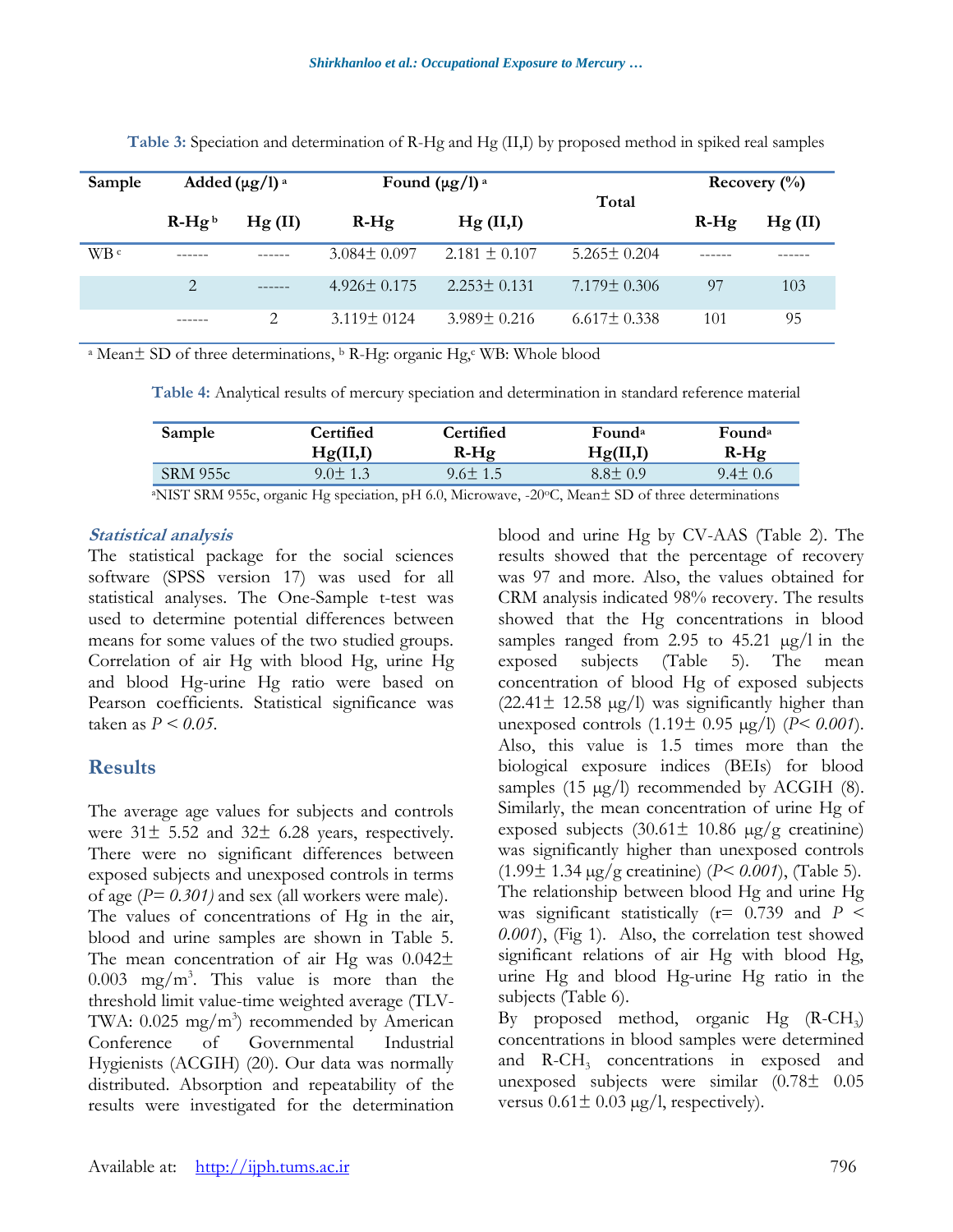| Sample | Added $(\mu g/l)^a$ |        | Found $(\mu g/l)^a$ |                   | Total             | Recovery $\binom{0}{0}$ |         |
|--------|---------------------|--------|---------------------|-------------------|-------------------|-------------------------|---------|
|        | $R-Hgb$             | Hg(II) | $R-Hg$              | Hg (II,I)         |                   | $R-Hg$                  | Hg (II) |
| WB ¢   |                     |        | $3.084 \pm 0.097$   | $2.181 \pm 0.107$ | $5.265 \pm 0.204$ |                         |         |
|        | 2                   |        | $4.926 \pm 0.175$   | $2.253 \pm 0.131$ | $7.179 \pm 0.306$ | 97                      | 103     |
|        |                     | 2      | $3.119 \pm 0124$    | $3.989 \pm 0.216$ | $6.617 \pm 0.338$ | 101                     | 95      |

**Table 3:** Speciation and determination of R-Hg and Hg (II,I) by proposed method in spiked real samples

<sup>a</sup> Mean± SD of three determinations, <sup>b</sup> R-Hg: organic Hg,<sup>c</sup> WB: Whole blood

**Table 4:** Analytical results of mercury speciation and determination in standard reference material

| Sample          | Certified     | Certified     | Found <sup>a</sup> | Found <sup>a</sup> |
|-----------------|---------------|---------------|--------------------|--------------------|
|                 | Hg(II,I)      | $R-Hg$        | Hg(II,I)           | $R-Hg$             |
| <b>SRM 955c</b> | $9.0 \pm 1.3$ | $9.6 \pm 1.5$ | $8.8 \pm 0.9$      | $9.4 \pm 0.6$      |

<sup>a</sup>NIST SRM 955c, organic Hg speciation, pH 6.0, Microwave, -20oC, Mean± SD of three determinations

#### **Statistical analysis**

The statistical package for the social sciences software (SPSS version 17) was used for all statistical analyses. The One-Sample t-test was used to determine potential differences between means for some values of the two studied groups. Correlation of air Hg with blood Hg, urine Hg and blood Hg-urine Hg ratio were based on Pearson coefficients. Statistical significance was taken as *P < 0.05*.

# **Results**

The average age values for subjects and controls were 31± 5.52 and 32± 6.28 years, respectively. There were no significant differences between exposed subjects and unexposed controls in terms of age (*P= 0.301)* and sex (all workers were male). The values of concentrations of Hg in the air, blood and urine samples are shown in Table 5. The mean concentration of air Hg was  $0.042\pm$  $0.003$  mg/m<sup>3</sup>. This value is more than the threshold limit value-time weighted average (TLV-TWA:  $0.025 \text{ mg/m}^3$  recommended by American Conference of Governmental Industrial Hygienists (ACGIH) (20). Our data was normally distributed. Absorption and repeatability of the results were investigated for the determination

blood and urine Hg by CV-AAS (Table 2). The results showed that the percentage of recovery was 97 and more. Also, the values obtained for CRM analysis indicated 98% recovery. The results showed that the Hg concentrations in blood samples ranged from 2.95 to 45.21 µg/l in the exposed subjects (Table 5). The mean exposed subjects (Table 5). The mean concentration of blood Hg of exposed subjects  $(22.41 \pm 12.58 \text{ µg/l})$  was significantly higher than unexposed controls (1.19± 0.95 µg/l) (*P< 0.001*). Also, this value is 1.5 times more than the biological exposure indices (BEIs) for blood samples (15  $\mu$ g/l) recommended by ACGIH (8). Similarly, the mean concentration of urine Hg of exposed subjects  $(30.61 \pm 10.86 \text{ µg/g} \text{ creating})$ was significantly higher than unexposed controls (1.99± 1.34 µg/g creatinine) (*P< 0.001*), (Table 5). The relationship between blood Hg and urine Hg was significant statistically  $(r= 0.739)$  and  $P \le$ *0.001*), (Fig 1). Also, the correlation test showed significant relations of air Hg with blood Hg, urine Hg and blood Hg-urine Hg ratio in the subjects (Table 6).

By proposed method, organic Hg (R-CH<sup>3</sup> ) concentrations in blood samples were determined and R-CH<sub>3</sub> concentrations in exposed and unexposed subjects were similar (0.78± 0.05 versus  $0.61 \pm 0.03 \mu g/l$ , respectively).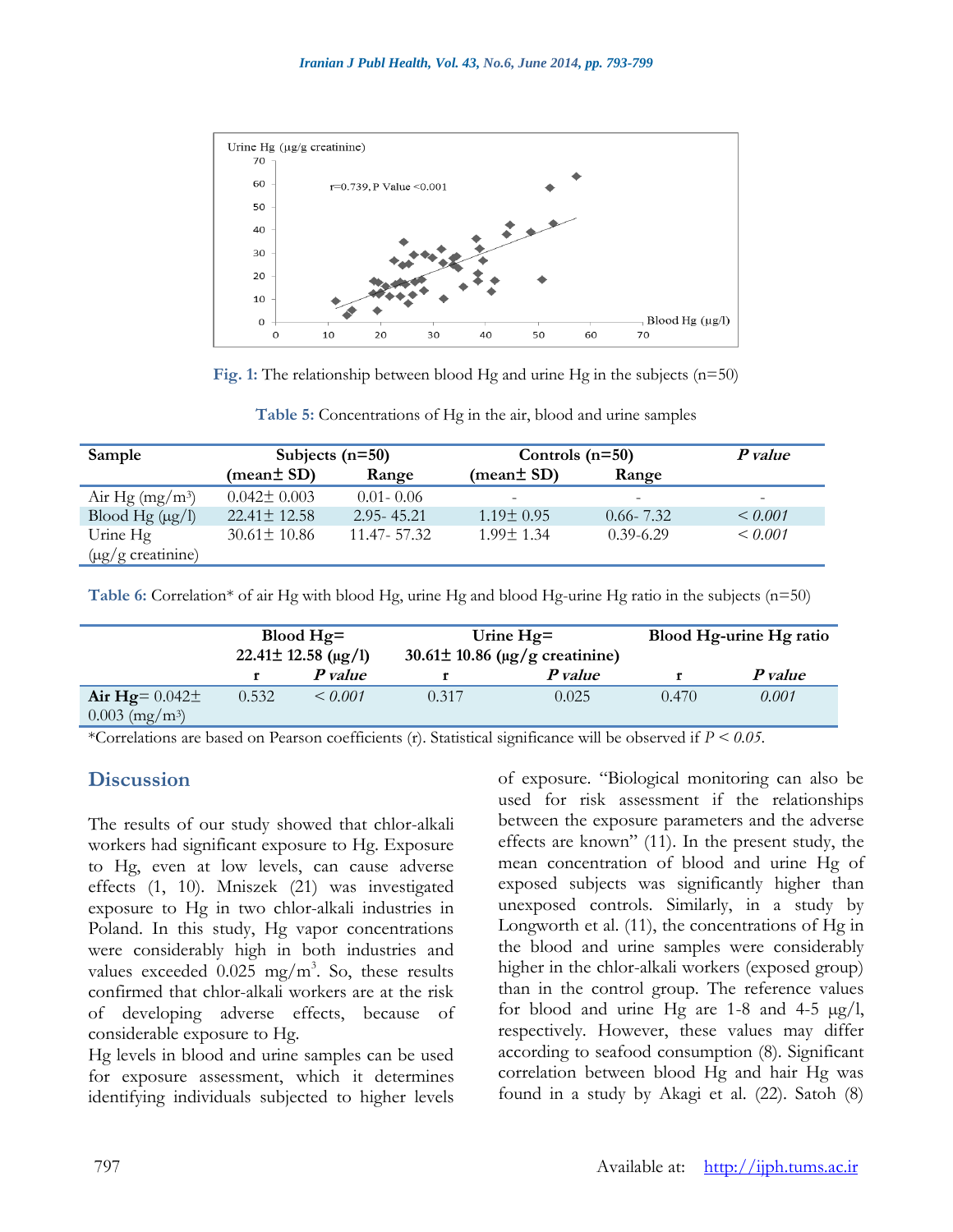

**Fig. 1:** The relationship between blood Hg and urine Hg in the subjects (n=50)

**Table 5:** Concentrations of Hg in the air, blood and urine samples

| Sample                      | Subjects $(n=50)$ |                | Controls $(n=50)$        | P value       |                          |
|-----------------------------|-------------------|----------------|--------------------------|---------------|--------------------------|
|                             | (mean± SD)        | Range          | (mean $\pm$ SD)          | Range         |                          |
| Air Hg $(mg/m^3)$           | $0.042 \pm 0.003$ | $0.01 - 0.06$  | $\overline{\phantom{m}}$ |               | $\overline{\phantom{a}}$ |
| Blood Hg $(\mu g/l)$        | $22.41 \pm 12.58$ | $2.95 - 45.21$ | $1.19 \pm 0.95$          | $0.66 - 7.32$ | $\leq 0.001$             |
| Urine Hg                    | $30.61 \pm 10.86$ | 11.47 - 57.32  | $1.99 \pm 1.34$          | $0.39 - 6.29$ | $\leq 0.001$             |
| $(\mu g/g \text{ creation}$ |                   |                |                          |               |                          |

**Table 6:** Correlation\* of air Hg with blood Hg, urine Hg and blood Hg-urine Hg ratio in the subjects (n=50)

|                              | Blood $Hg=$<br>$22.41 \pm 12.58 \text{ (µg/l)}$ |              | Urine $Hg=$<br>$30.61 \pm 10.86$ (µg/g creatinine) |         | Blood Hg-urine Hg ratio |         |
|------------------------------|-------------------------------------------------|--------------|----------------------------------------------------|---------|-------------------------|---------|
|                              |                                                 | P value      |                                                    | P value |                         | P value |
| Air Hg= $0.042\pm$           | 0.532                                           | $\leq 0.001$ | 0.317                                              | 0.025   | 0.470                   | 0.001   |
| $0.003$ (mg/m <sup>3</sup> ) |                                                 |              |                                                    |         |                         |         |

\*Correlations are based on Pearson coefficients (r). Statistical significance will be observed if *P < 0.05*.

# **Discussion**

The results of our study showed that chlor-alkali workers had significant exposure to Hg. Exposure to Hg, even at low levels, can cause adverse effects (1, 10). Mniszek (21) was investigated exposure to Hg in two chlor-alkali industries in Poland. In this study, Hg vapor concentrations were considerably high in both industries and values exceeded  $0.025$  mg/m<sup>3</sup>. So, these results confirmed that chlor-alkali workers are at the risk of developing adverse effects, because of considerable exposure to Hg.

Hg levels in blood and urine samples can be used for exposure assessment, which it determines identifying individuals subjected to higher levels of exposure. "Biological monitoring can also be used for risk assessment if the relationships between the exposure parameters and the adverse effects are known" (11). In the present study, the mean concentration of blood and urine Hg of exposed subjects was significantly higher than unexposed controls. Similarly, in a study by Longworth et al. (11), the concentrations of Hg in the blood and urine samples were considerably higher in the chlor-alkali workers (exposed group) than in the control group. The reference values for blood and urine Hg are  $1-8$  and  $4-5 \mu g/l$ , respectively. However, these values may differ according to seafood consumption (8). Significant correlation between blood Hg and hair Hg was found in a study by Akagi et al. (22). Satoh (8)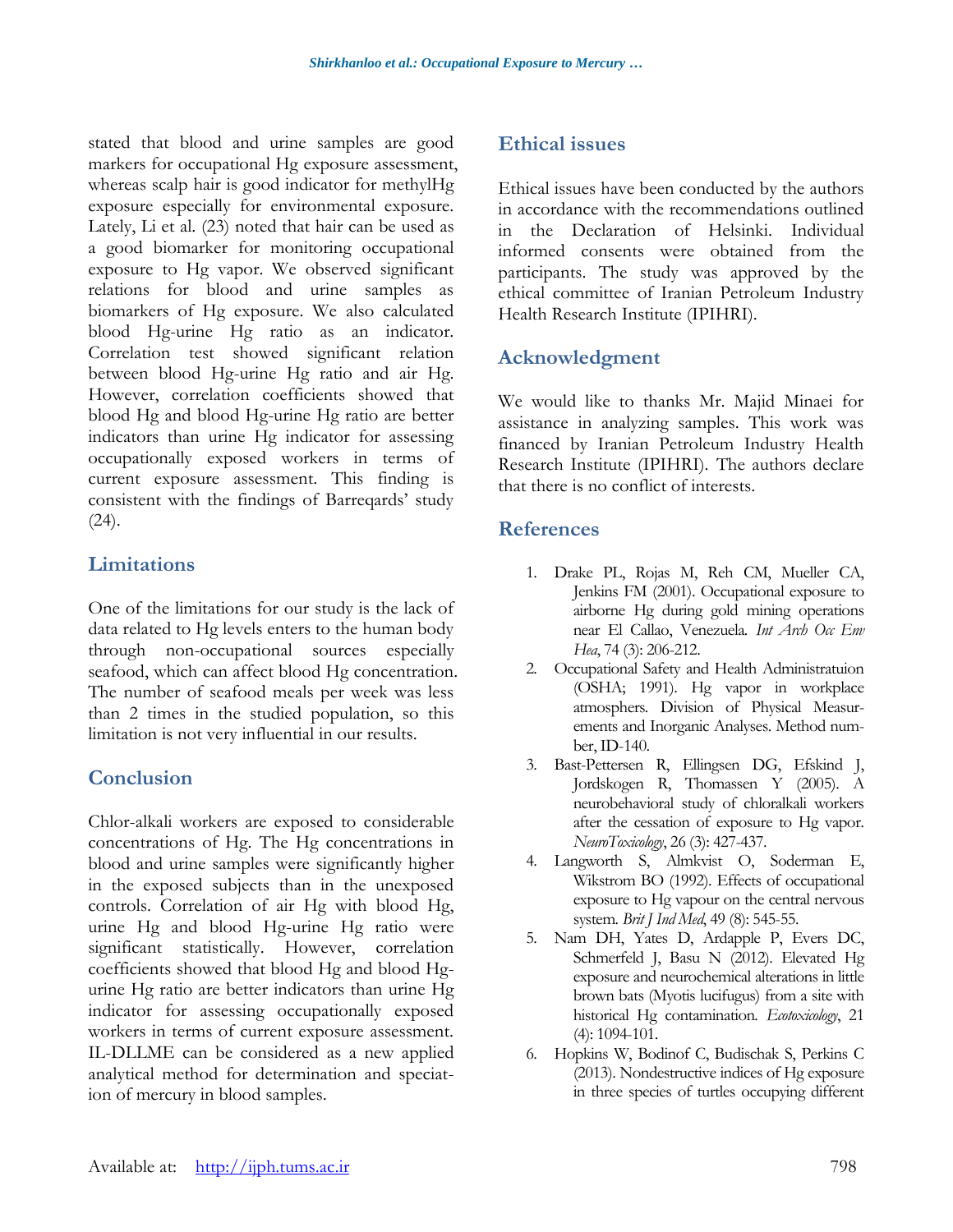stated that blood and urine samples are good markers for occupational Hg exposure assessment, whereas scalp hair is good indicator for methylHg exposure especially for environmental exposure. Lately, Li et al. (23) noted that hair can be used as a good biomarker for monitoring occupational exposure to Hg vapor. We observed significant relations for blood and urine samples as biomarkers of Hg exposure. We also calculated blood Hg-urine Hg ratio as an indicator. Correlation test showed significant relation between blood Hg-urine Hg ratio and air Hg. However, correlation coefficients showed that blood Hg and blood Hg-urine Hg ratio are better indicators than urine Hg indicator for assessing occupationally exposed workers in terms of current exposure assessment. This finding is consistent with the findings of Barreqards' study  $(24)$ .

# **Limitations**

One of the limitations for our study is the lack of data related to Hg levels enters to the human body through non-occupational sources especially seafood, which can affect blood Hg concentration. The number of seafood meals per week was less than 2 times in the studied population, so this limitation is not very influential in our results.

## **Conclusion**

Chlor-alkali workers are exposed to considerable concentrations of Hg. The Hg concentrations in blood and urine samples were significantly higher in the exposed subjects than in the unexposed controls. Correlation of air Hg with blood Hg, urine Hg and blood Hg-urine Hg ratio were significant statistically. However, correlation coefficients showed that blood Hg and blood Hgurine Hg ratio are better indicators than urine Hg indicator for assessing occupationally exposed workers in terms of current exposure assessment. IL-DLLME can be considered as a new applied analytical method for determination and speciation of mercury in blood samples.

# **Ethical issues**

Ethical issues have been conducted by the authors in accordance with the recommendations outlined in the Declaration of Helsinki. Individual informed consents were obtained from the participants. The study was approved by the ethical committee of Iranian Petroleum Industry Health Research Institute (IPIHRI).

# **Acknowledgment**

We would like to thanks Mr. Majid Minaei for assistance in analyzing samples. This work was financed by Iranian Petroleum Industry Health Research Institute (IPIHRI). The authors declare that there is no conflict of interests.

## **References**

- 1. Drake PL, Rojas M, Reh CM, Mueller CA, Jenkins FM (2001). Occupational exposure to airborne Hg during gold mining operations near El Callao, Venezuela*. Int Arch Occ Env Hea*, 74 (3): 206-212.
- 2. Occupational Safety and Health Administratuion (OSHA; 1991). Hg vapor in workplace atmosphers*.* Division of Physical Measurements and Inorganic Analyses. Method number, ID-140.
- 3. Bast-Pettersen R, Ellingsen DG, Efskind J, Jordskogen R, Thomassen Y (2005). A neurobehavioral study of chloralkali workers after the cessation of exposure to Hg vapor*. NeuroToxicology*, 26 (3): 427-437.
- 4. Langworth S, Almkvist O, Soderman E, Wikstrom BO (1992). Effects of occupational exposure to Hg vapour on the central nervous system*. Brit J Ind Med*, 49 (8): 545-55.
- 5. Nam DH, Yates D, Ardapple P, Evers DC, Schmerfeld J, Basu N (2012). Elevated Hg exposure and neurochemical alterations in little brown bats (Myotis lucifugus) from a site with historical Hg contamination*. Ecotoxicology*, 21 (4): 1094-101.
- 6. Hopkins W, Bodinof C, Budischak S, Perkins C (2013). Nondestructive indices of Hg exposure in three species of turtles occupying different